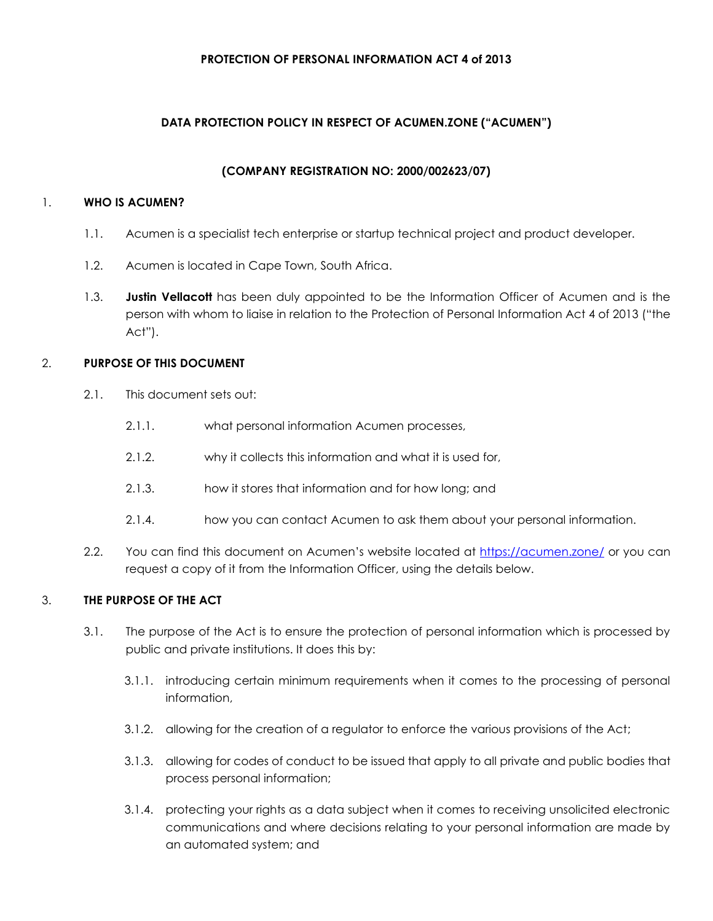### **PROTECTION OF PERSONAL INFORMATION ACT 4 of 2013**

## **DATA PROTECTION POLICY IN RESPECT OF ACUMEN.ZONE ("ACUMEN")**

### **(COMPANY REGISTRATION NO: 2000/002623/07)**

## 1. **WHO IS ACUMEN?**

- 1.1. Acumen is a specialist tech enterprise or startup technical project and product developer.
- 1.2. Acumen is located in Cape Town, South Africa.
- 1.3. **Justin Vellacott** has been duly appointed to be the Information Officer of Acumen and is the person with whom to liaise in relation to the Protection of Personal Information Act 4 of 2013 ("the Act").

## 2. **PURPOSE OF THIS DOCUMENT**

- 2.1. This document sets out:
	- 2.1.1. what personal information Acumen processes,
	- 2.1.2. why it collects this information and what it is used for,
	- 2.1.3. how it stores that information and for how long; and
	- 2.1.4. how you can contact Acumen to ask them about your personal information.
- 2.2. You can find this document on Acumen's website located at<https://acumen.zone/>or you can request a copy of it from the Information Officer, using the details below.

## 3. **THE PURPOSE OF THE ACT**

- 3.1. The purpose of the Act is to ensure the protection of personal information which is processed by public and private institutions. It does this by:
	- 3.1.1. introducing certain minimum requirements when it comes to the processing of personal information,
	- 3.1.2. allowing for the creation of a regulator to enforce the various provisions of the Act;
	- 3.1.3. allowing for codes of conduct to be issued that apply to all private and public bodies that process personal information;
	- 3.1.4. protecting your rights as a data subject when it comes to receiving unsolicited electronic communications and where decisions relating to your personal information are made by an automated system; and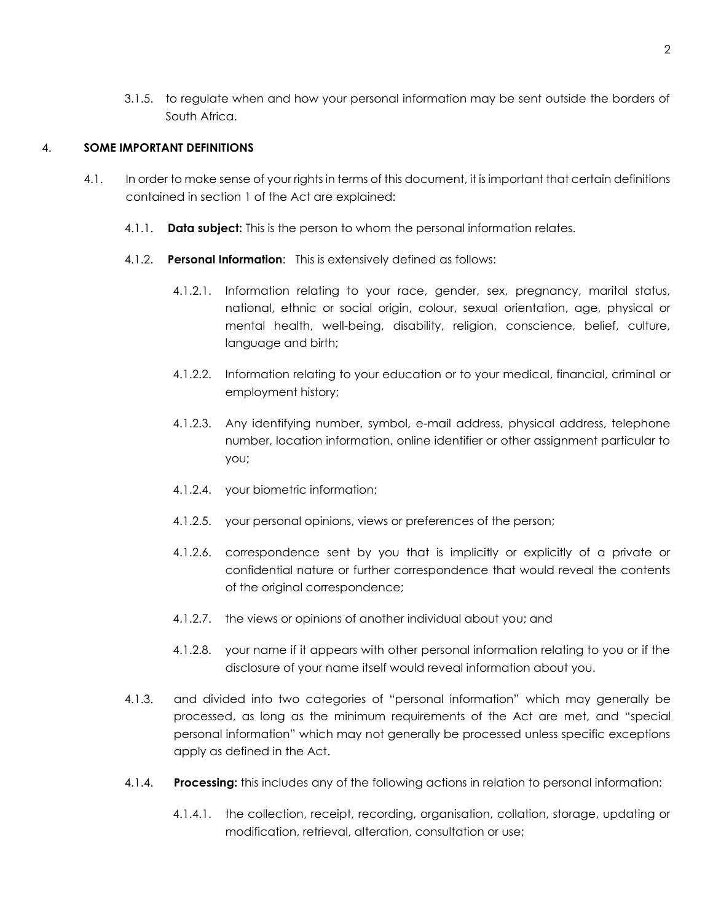3.1.5. to regulate when and how your personal information may be sent outside the borders of South Africa.

## 4. **SOME IMPORTANT DEFINITIONS**

- 4.1. In order to make sense of your rights in terms of this document, it is important that certain definitions contained in section 1 of the Act are explained:
	- 4.1.1. **Data subject:** This is the person to whom the personal information relates.
	- 4.1.2. **Personal Information**: This is extensively defined as follows:
		- 4.1.2.1. Information relating to your race, gender, sex, pregnancy, marital status, national, ethnic or social origin, colour, sexual orientation, age, physical or mental health, well-being, disability, religion, conscience, belief, culture, language and birth;
		- 4.1.2.2. Information relating to your education or to your medical, financial, criminal or employment history;
		- 4.1.2.3. Any identifying number, symbol, e-mail address, physical address, telephone number, location information, online identifier or other assignment particular to you;
		- 4.1.2.4. your biometric information;
		- 4.1.2.5. your personal opinions, views or preferences of the person;
		- 4.1.2.6. correspondence sent by you that is implicitly or explicitly of a private or confidential nature or further correspondence that would reveal the contents of the original correspondence;
		- 4.1.2.7. the views or opinions of another individual about you; and
		- 4.1.2.8. your name if it appears with other personal information relating to you or if the disclosure of your name itself would reveal information about you.
	- 4.1.3. and divided into two categories of "personal information" which may generally be processed, as long as the minimum requirements of the Act are met, and "special personal information" which may not generally be processed unless specific exceptions apply as defined in the Act.
	- 4.1.4. **Processing:** this includes any of the following actions in relation to personal information:
		- 4.1.4.1. the collection, receipt, recording, organisation, collation, storage, updating or modification, retrieval, alteration, consultation or use;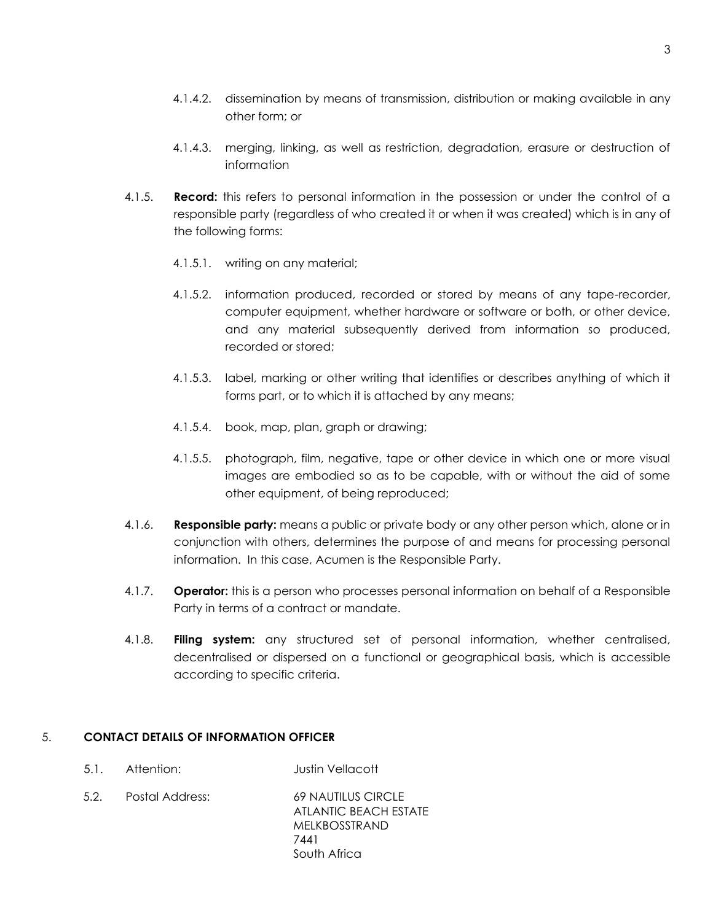- 4.1.4.2. dissemination by means of transmission, distribution or making available in any other form; or
- 4.1.4.3. merging, linking, as well as restriction, degradation, erasure or destruction of information
- 4.1.5. **Record:** this refers to personal information in the possession or under the control of a responsible party (regardless of who created it or when it was created) which is in any of the following forms:
	- 4.1.5.1. writing on any material;
	- 4.1.5.2. information produced, recorded or stored by means of any tape-recorder, computer equipment, whether hardware or software or both, or other device, and any material subsequently derived from information so produced, recorded or stored;
	- 4.1.5.3. label, marking or other writing that identifies or describes anything of which it forms part, or to which it is attached by any means;
	- 4.1.5.4. book, map, plan, graph or drawing;
	- 4.1.5.5. photograph, film, negative, tape or other device in which one or more visual images are embodied so as to be capable, with or without the aid of some other equipment, of being reproduced;
- 4.1.6. **Responsible party:** means a public or private body or any other person which, alone or in conjunction with others, determines the purpose of and means for processing personal information. In this case, Acumen is the Responsible Party.
- 4.1.7. **Operator:** this is a person who processes personal information on behalf of a Responsible Party in terms of a contract or mandate.
- 4.1.8. **Filing system:** any structured set of personal information, whether centralised, decentralised or dispersed on a functional or geographical basis, which is accessible according to specific criteria.

#### 5. **CONTACT DETAILS OF INFORMATION OFFICER**

- 5.1. Attention: Justin Vellacott
- 5.2. Postal Address: 69 NAUTILUS CIRCLE ATLANTIC BEACH ESTATE MELKBOSSTRAND 7441 South Africa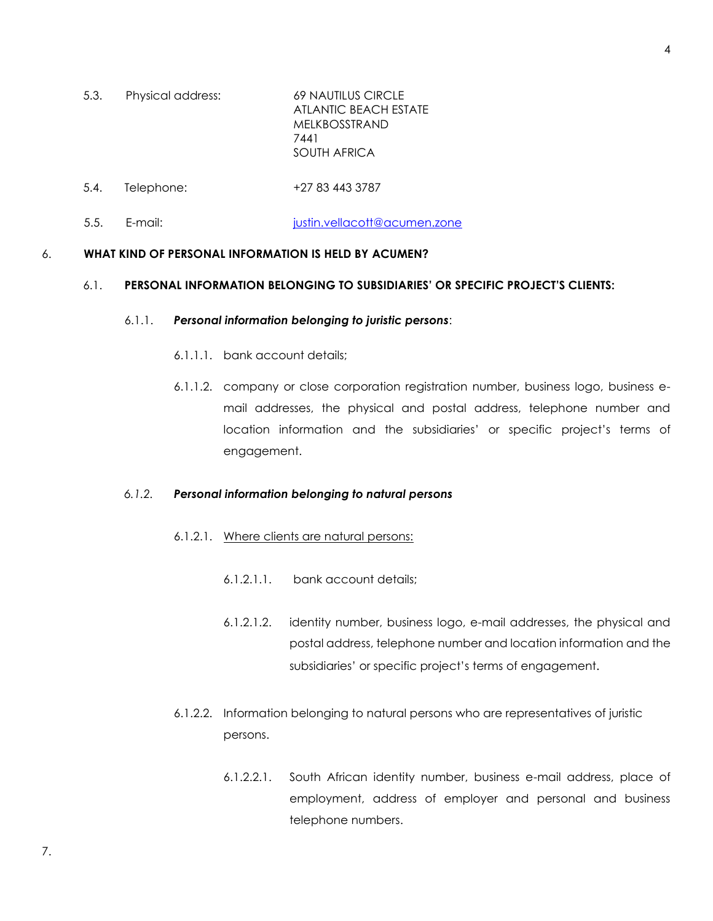- 5.3. Physical address: 69 NAUTILUS CIRCLE ATLANTIC BEACH ESTATE MELKBOSSTRAND 7441 SOUTH AFRICA
- 5.4. Telephone: +27 83 443 3787
- 5.5. E-mail: interest in the interest in the interest in the interest in the interest in the interest in the i

### 6. **WHAT KIND OF PERSONAL INFORMATION IS HELD BY ACUMEN?**

#### 6.1. **PERSONAL INFORMATION BELONGING TO SUBSIDIARIES' OR SPECIFIC PROJECT'S CLIENTS:**

#### 6.1.1. *Personal information belonging to juristic persons*:

- 6.1.1.1. bank account details;
- 6.1.1.2. company or close corporation registration number, business logo, business email addresses, the physical and postal address, telephone number and location information and the subsidiaries' or specific project's terms of engagement.

#### *6.1.2. Personal information belonging to natural persons*

- 6.1.2.1. Where clients are natural persons:
	- 6.1.2.1.1. bank account details;
	- 6.1.2.1.2. identity number, business logo, e-mail addresses, the physical and postal address, telephone number and location information and the subsidiaries' or specific project's terms of engagement.
- 6.1.2.2. Information belonging to natural persons who are representatives of juristic persons.
	- 6.1.2.2.1. South African identity number, business e-mail address, place of employment, address of employer and personal and business telephone numbers.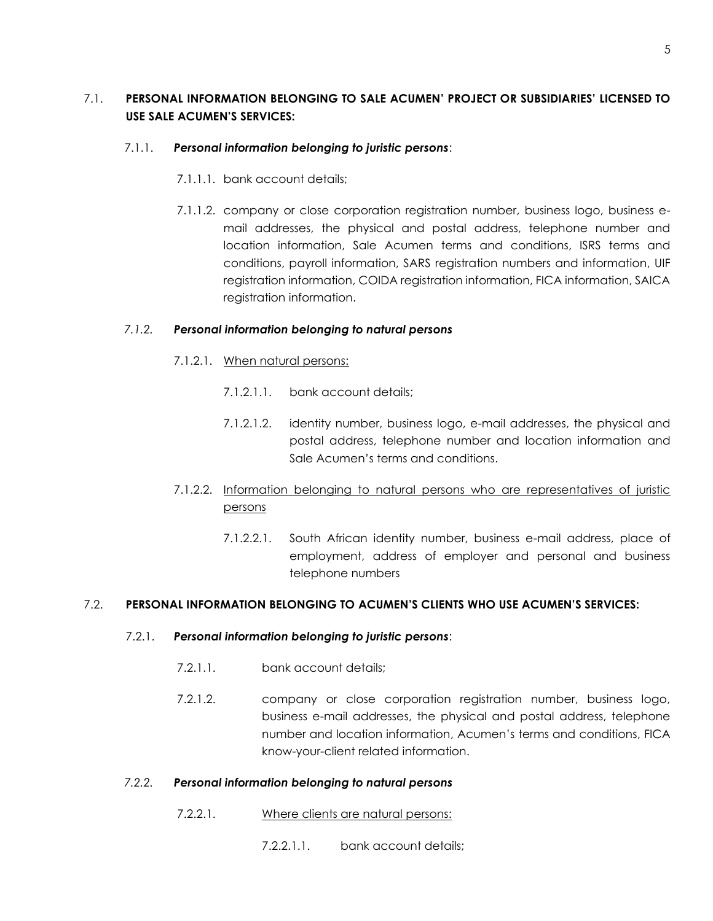# 7.1. **PERSONAL INFORMATION BELONGING TO SALE ACUMEN' PROJECT OR SUBSIDIARIES' LICENSED TO USE SALE ACUMEN'S SERVICES:**

## 7.1.1. *Personal information belonging to juristic persons*:

- 7.1.1.1. bank account details;
- 7.1.1.2. company or close corporation registration number, business logo, business email addresses, the physical and postal address, telephone number and location information, Sale Acumen terms and conditions, ISRS terms and conditions, payroll information, SARS registration numbers and information, UIF registration information, COIDA registration information, FICA information, SAICA registration information.

## *7.1.2. Personal information belonging to natural persons*

- 7.1.2.1. When natural persons:
	- 7.1.2.1.1. bank account details;
	- 7.1.2.1.2. identity number, business logo, e-mail addresses, the physical and postal address, telephone number and location information and Sale Acumen's terms and conditions.

# 7.1.2.2. Information belonging to natural persons who are representatives of juristic persons

7.1.2.2.1. South African identity number, business e-mail address, place of employment, address of employer and personal and business telephone numbers

### 7.2. **PERSONAL INFORMATION BELONGING TO ACUMEN'S CLIENTS WHO USE ACUMEN'S SERVICES:**

### 7.2.1. *Personal information belonging to juristic persons*:

- 7.2.1.1. bank account details;
- 7.2.1.2. company or close corporation registration number, business logo, business e-mail addresses, the physical and postal address, telephone number and location information, Acumen's terms and conditions, FICA know-your-client related information.

### *7.2.2. Personal information belonging to natural persons*

- 7.2.2.1. Where clients are natural persons:
	- 7.2.2.1.1. bank account details;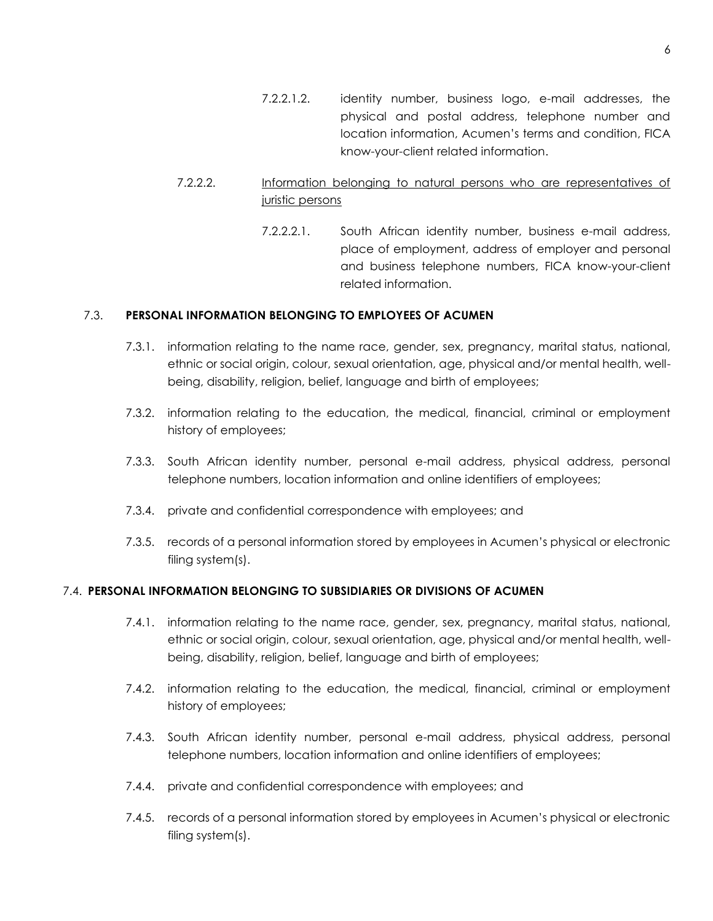- 7.2.2.1.2. identity number, business logo, e-mail addresses, the physical and postal address, telephone number and location information, Acumen's terms and condition, FICA know-your-client related information.
- 7.2.2.2. Information belonging to natural persons who are representatives of juristic persons
	- 7.2.2.2.1. South African identity number, business e-mail address, place of employment, address of employer and personal and business telephone numbers, FICA know-your-client related information.

### 7.3. **PERSONAL INFORMATION BELONGING TO EMPLOYEES OF ACUMEN**

- 7.3.1. information relating to the name race, gender, sex, pregnancy, marital status, national, ethnic or social origin, colour, sexual orientation, age, physical and/or mental health, wellbeing, disability, religion, belief, language and birth of employees;
- 7.3.2. information relating to the education, the medical, financial, criminal or employment history of employees;
- 7.3.3. South African identity number, personal e-mail address, physical address, personal telephone numbers, location information and online identifiers of employees;
- 7.3.4. private and confidential correspondence with employees; and
- 7.3.5. records of a personal information stored by employees in Acumen's physical or electronic filing system(s).

### 7.4. **PERSONAL INFORMATION BELONGING TO SUBSIDIARIES OR DIVISIONS OF ACUMEN**

- 7.4.1. information relating to the name race, gender, sex, pregnancy, marital status, national, ethnic or social origin, colour, sexual orientation, age, physical and/or mental health, wellbeing, disability, religion, belief, language and birth of employees;
- 7.4.2. information relating to the education, the medical, financial, criminal or employment history of employees;
- 7.4.3. South African identity number, personal e-mail address, physical address, personal telephone numbers, location information and online identifiers of employees;
- 7.4.4. private and confidential correspondence with employees; and
- 7.4.5. records of a personal information stored by employees in Acumen's physical or electronic filing system(s).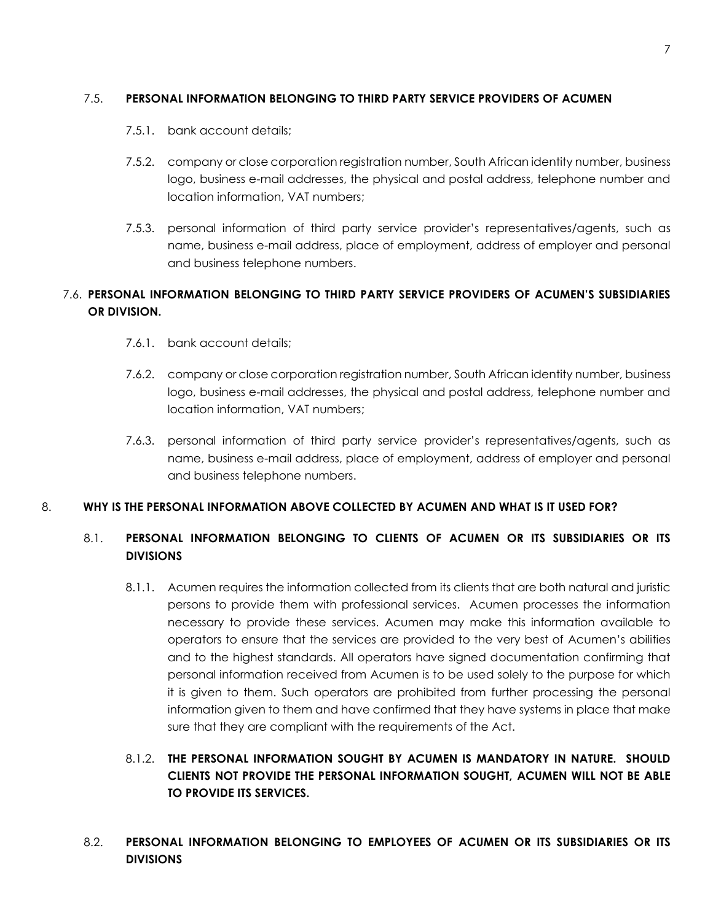#### 7

#### 7.5. **PERSONAL INFORMATION BELONGING TO THIRD PARTY SERVICE PROVIDERS OF ACUMEN**

- 7.5.1. bank account details;
- 7.5.2. company or close corporation registration number, South African identity number, business logo, business e-mail addresses, the physical and postal address, telephone number and location information, VAT numbers;
- 7.5.3. personal information of third party service provider's representatives/agents, such as name, business e-mail address, place of employment, address of employer and personal and business telephone numbers.

# 7.6. **PERSONAL INFORMATION BELONGING TO THIRD PARTY SERVICE PROVIDERS OF ACUMEN'S SUBSIDIARIES OR DIVISION.**

- 7.6.1. bank account details;
- 7.6.2. company or close corporation registration number, South African identity number, business logo, business e-mail addresses, the physical and postal address, telephone number and location information, VAT numbers;
- 7.6.3. personal information of third party service provider's representatives/agents, such as name, business e-mail address, place of employment, address of employer and personal and business telephone numbers.

#### 8. **WHY IS THE PERSONAL INFORMATION ABOVE COLLECTED BY ACUMEN AND WHAT IS IT USED FOR?**

## 8.1. **PERSONAL INFORMATION BELONGING TO CLIENTS OF ACUMEN OR ITS SUBSIDIARIES OR ITS DIVISIONS**

8.1.1. Acumen requires the information collected from its clients that are both natural and juristic persons to provide them with professional services. Acumen processes the information necessary to provide these services. Acumen may make this information available to operators to ensure that the services are provided to the very best of Acumen's abilities and to the highest standards. All operators have signed documentation confirming that personal information received from Acumen is to be used solely to the purpose for which it is given to them. Such operators are prohibited from further processing the personal information given to them and have confirmed that they have systems in place that make sure that they are compliant with the requirements of the Act.

# 8.1.2. **THE PERSONAL INFORMATION SOUGHT BY ACUMEN IS MANDATORY IN NATURE. SHOULD CLIENTS NOT PROVIDE THE PERSONAL INFORMATION SOUGHT, ACUMEN WILL NOT BE ABLE TO PROVIDE ITS SERVICES.**

8.2. **PERSONAL INFORMATION BELONGING TO EMPLOYEES OF ACUMEN OR ITS SUBSIDIARIES OR ITS DIVISIONS**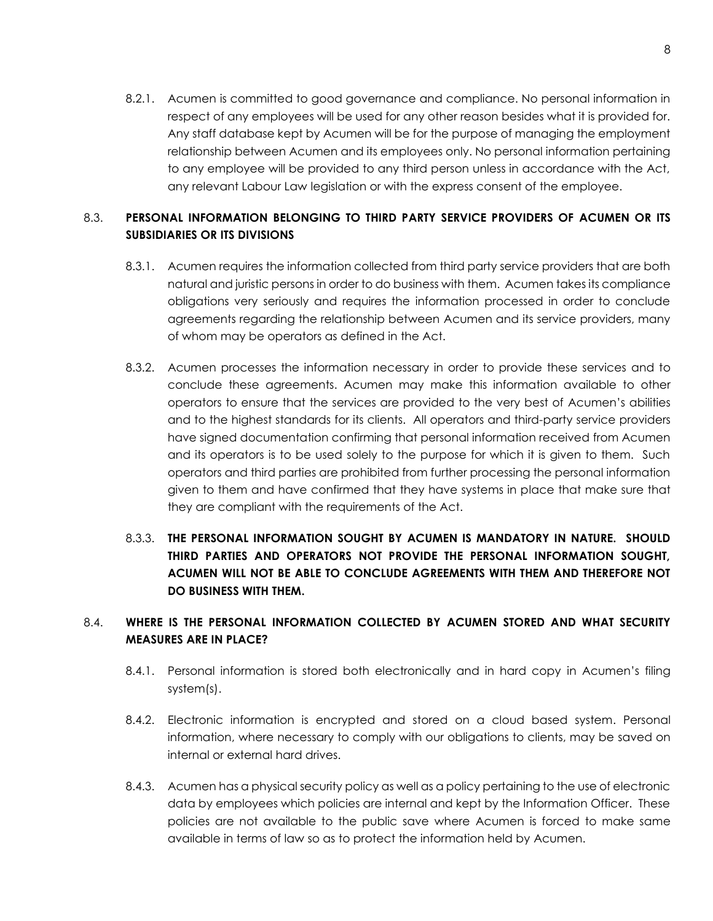8.2.1. Acumen is committed to good governance and compliance. No personal information in respect of any employees will be used for any other reason besides what it is provided for. Any staff database kept by Acumen will be for the purpose of managing the employment relationship between Acumen and its employees only. No personal information pertaining to any employee will be provided to any third person unless in accordance with the Act, any relevant Labour Law legislation or with the express consent of the employee.

# 8.3. **PERSONAL INFORMATION BELONGING TO THIRD PARTY SERVICE PROVIDERS OF ACUMEN OR ITS SUBSIDIARIES OR ITS DIVISIONS**

- 8.3.1. Acumen requires the information collected from third party service providers that are both natural and juristic persons in order to do business with them. Acumen takes its compliance obligations very seriously and requires the information processed in order to conclude agreements regarding the relationship between Acumen and its service providers, many of whom may be operators as defined in the Act.
- 8.3.2. Acumen processes the information necessary in order to provide these services and to conclude these agreements. Acumen may make this information available to other operators to ensure that the services are provided to the very best of Acumen's abilities and to the highest standards for its clients. All operators and third-party service providers have signed documentation confirming that personal information received from Acumen and its operators is to be used solely to the purpose for which it is given to them. Such operators and third parties are prohibited from further processing the personal information given to them and have confirmed that they have systems in place that make sure that they are compliant with the requirements of the Act.
- 8.3.3. **THE PERSONAL INFORMATION SOUGHT BY ACUMEN IS MANDATORY IN NATURE. SHOULD THIRD PARTIES AND OPERATORS NOT PROVIDE THE PERSONAL INFORMATION SOUGHT, ACUMEN WILL NOT BE ABLE TO CONCLUDE AGREEMENTS WITH THEM AND THEREFORE NOT DO BUSINESS WITH THEM.**

# 8.4. **WHERE IS THE PERSONAL INFORMATION COLLECTED BY ACUMEN STORED AND WHAT SECURITY MEASURES ARE IN PLACE?**

- 8.4.1. Personal information is stored both electronically and in hard copy in Acumen's filing system(s).
- 8.4.2. Electronic information is encrypted and stored on a cloud based system. Personal information, where necessary to comply with our obligations to clients, may be saved on internal or external hard drives.
- 8.4.3. Acumen has a physical security policy as well as a policy pertaining to the use of electronic data by employees which policies are internal and kept by the Information Officer. These policies are not available to the public save where Acumen is forced to make same available in terms of law so as to protect the information held by Acumen.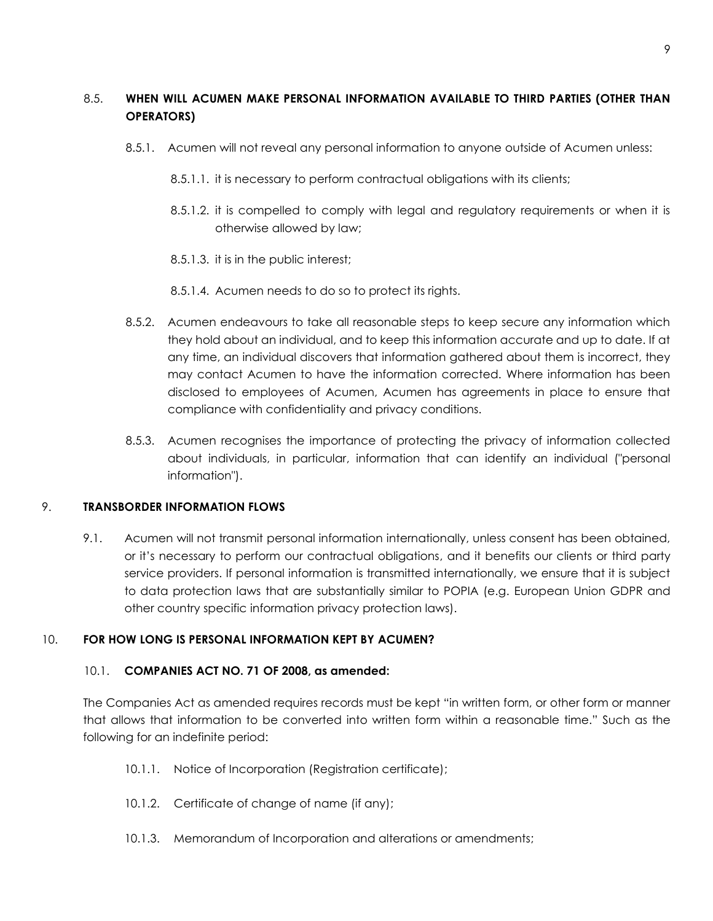# 8.5. **WHEN WILL ACUMEN MAKE PERSONAL INFORMATION AVAILABLE TO THIRD PARTIES (OTHER THAN OPERATORS)**

- 8.5.1. Acumen will not reveal any personal information to anyone outside of Acumen unless:
	- 8.5.1.1. it is necessary to perform contractual obligations with its clients;
	- 8.5.1.2. it is compelled to comply with legal and regulatory requirements or when it is otherwise allowed by law;
	- 8.5.1.3. it is in the public interest;
	- 8.5.1.4. Acumen needs to do so to protect its rights.
- 8.5.2. Acumen endeavours to take all reasonable steps to keep secure any information which they hold about an individual, and to keep this information accurate and up to date. If at any time, an individual discovers that information gathered about them is incorrect, they may contact Acumen to have the information corrected. Where information has been disclosed to employees of Acumen, Acumen has agreements in place to ensure that compliance with confidentiality and privacy conditions.
- 8.5.3. Acumen recognises the importance of protecting the privacy of information collected about individuals, in particular, information that can identify an individual ("personal information").

### 9. **TRANSBORDER INFORMATION FLOWS**

9.1. Acumen will not transmit personal information internationally, unless consent has been obtained, or it's necessary to perform our contractual obligations, and it benefits our clients or third party service providers. If personal information is transmitted internationally, we ensure that it is subject to data protection laws that are substantially similar to POPIA (e.g. European Union GDPR and other country specific information privacy protection laws).

## 10. **FOR HOW LONG IS PERSONAL INFORMATION KEPT BY ACUMEN?**

### 10.1. **COMPANIES ACT NO. 71 OF 2008, as amended:**

The Companies Act as amended requires records must be kept "in written form, or other form or manner that allows that information to be converted into written form within a reasonable time." Such as the following for an indefinite period:

- 10.1.1. Notice of Incorporation (Registration certificate);
- 10.1.2. Certificate of change of name (if any);
- 10.1.3. Memorandum of Incorporation and alterations or amendments;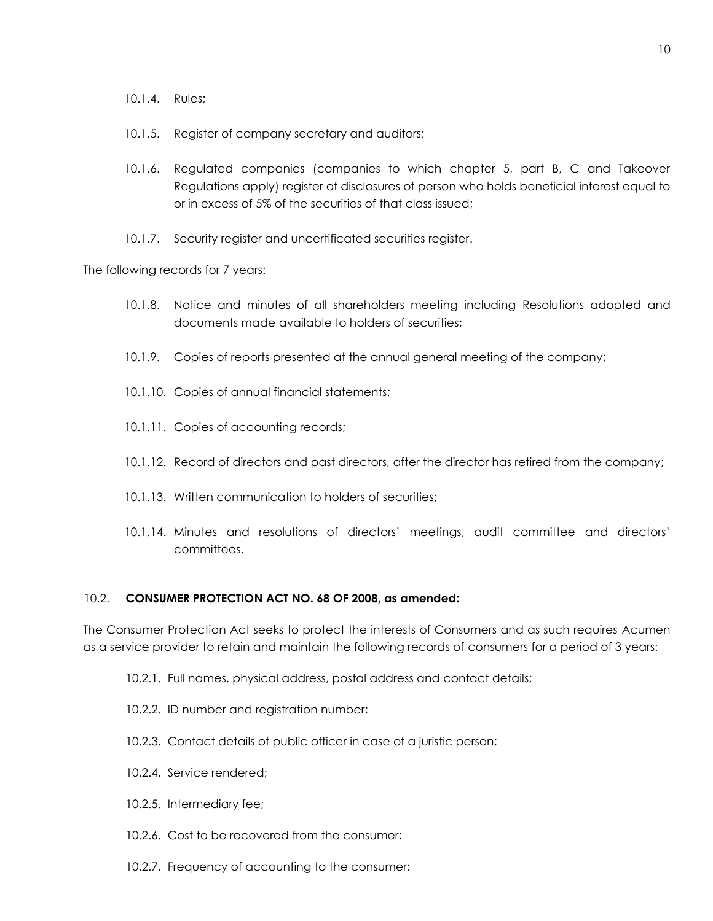- 10.1.4. Rules;
- 10.1.5. Register of company secretary and auditors;
- 10.1.6. Regulated companies (companies to which chapter 5, part B, C and Takeover Regulations apply) register of disclosures of person who holds beneficial interest equal to or in excess of 5% of the securities of that class issued;
- 10.1.7. Security register and uncertificated securities register.

The following records for 7 years:

- 10.1.8. Notice and minutes of all shareholders meeting including Resolutions adopted and documents made available to holders of securities;
- 10.1.9. Copies of reports presented at the annual general meeting of the company;
- 10.1.10. Copies of annual financial statements;
- 10.1.11. Copies of accounting records;
- 10.1.12. Record of directors and past directors, after the director has retired from the company;
- 10.1.13. Written communication to holders of securities;
- 10.1.14. Minutes and resolutions of directors' meetings, audit committee and directors' committees.

#### 10.2. **CONSUMER PROTECTION ACT NO. 68 OF 2008, as amended:**

The Consumer Protection Act seeks to protect the interests of Consumers and as such requires Acumen as a service provider to retain and maintain the following records of consumers for a period of 3 years:

- 10.2.1. Full names, physical address, postal address and contact details;
- 10.2.2. ID number and registration number;
- 10.2.3. Contact details of public officer in case of a juristic person;
- 10.2.4. Service rendered;
- 10.2.5. Intermediary fee;
- 10.2.6. Cost to be recovered from the consumer;
- 10.2.7. Frequency of accounting to the consumer;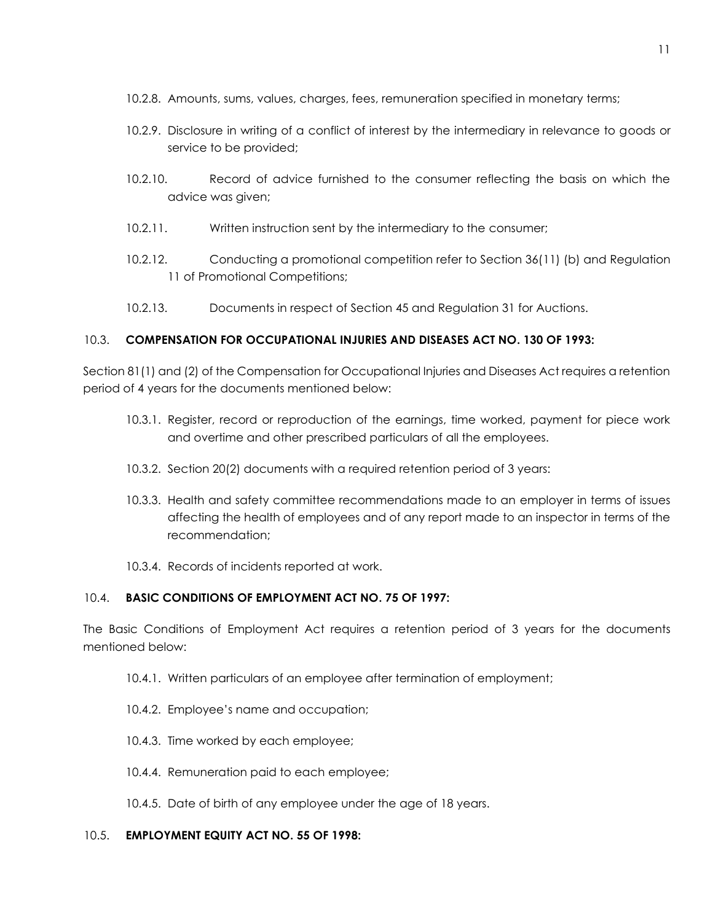- 10.2.8. Amounts, sums, values, charges, fees, remuneration specified in monetary terms;
- 10.2.9. Disclosure in writing of a conflict of interest by the intermediary in relevance to goods or service to be provided;
- 10.2.10. Record of advice furnished to the consumer reflecting the basis on which the advice was given;
- 10.2.11. Written instruction sent by the intermediary to the consumer;
- 10.2.12. Conducting a promotional competition refer to Section 36(11) (b) and Regulation 11 of Promotional Competitions;
- 10.2.13. Documents in respect of Section 45 and Regulation 31 for Auctions.

## 10.3. **COMPENSATION FOR OCCUPATIONAL INJURIES AND DISEASES ACT NO. 130 OF 1993:**

Section 81(1) and (2) of the Compensation for Occupational Injuries and Diseases Act requires a retention period of 4 years for the documents mentioned below:

- 10.3.1. Register, record or reproduction of the earnings, time worked, payment for piece work and overtime and other prescribed particulars of all the employees.
- 10.3.2. Section 20(2) documents with a required retention period of 3 years:
- 10.3.3. Health and safety committee recommendations made to an employer in terms of issues affecting the health of employees and of any report made to an inspector in terms of the recommendation;
- 10.3.4. Records of incidents reported at work.

## 10.4. **BASIC CONDITIONS OF EMPLOYMENT ACT NO. 75 OF 1997:**

The Basic Conditions of Employment Act requires a retention period of 3 years for the documents mentioned below:

- 10.4.1. Written particulars of an employee after termination of employment;
- 10.4.2. Employee's name and occupation;
- 10.4.3. Time worked by each employee;
- 10.4.4. Remuneration paid to each employee;
- 10.4.5. Date of birth of any employee under the age of 18 years.

### 10.5. **EMPLOYMENT EQUITY ACT NO. 55 OF 1998:**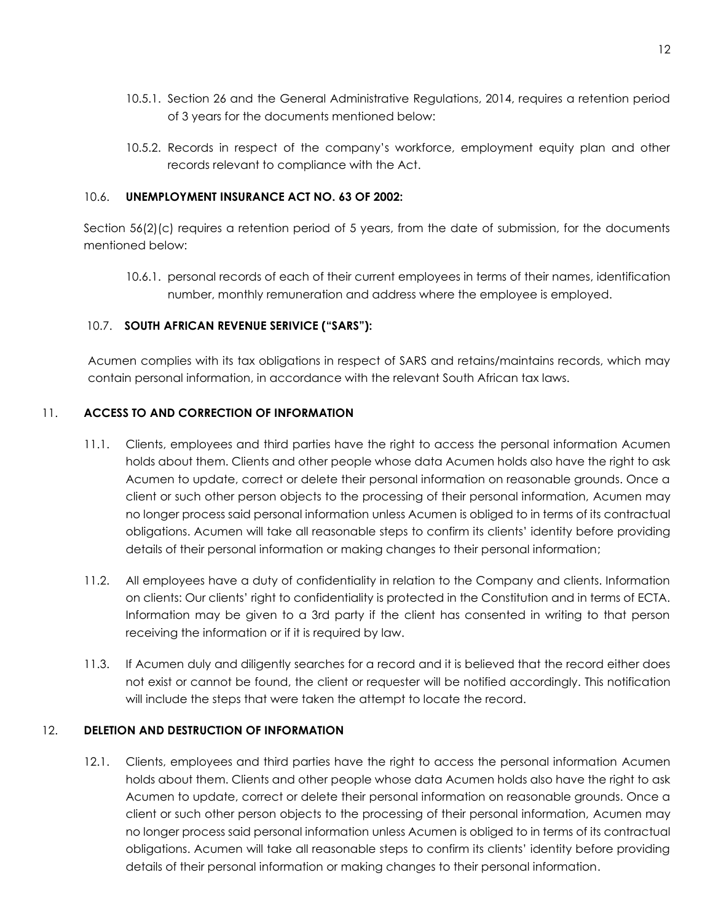- 10.5.1. Section 26 and the General Administrative Regulations, 2014, requires a retention period of 3 years for the documents mentioned below:
- 10.5.2. Records in respect of the company's workforce, employment equity plan and other records relevant to compliance with the Act.

#### 10.6. **UNEMPLOYMENT INSURANCE ACT NO. 63 OF 2002:**

Section 56(2)(c) requires a retention period of 5 years, from the date of submission, for the documents mentioned below:

10.6.1. personal records of each of their current employees in terms of their names, identification number, monthly remuneration and address where the employee is employed.

### 10.7. **SOUTH AFRICAN REVENUE SERIVICE ("SARS"):**

Acumen complies with its tax obligations in respect of SARS and retains/maintains records, which may contain personal information, in accordance with the relevant South African tax laws.

### 11. **ACCESS TO AND CORRECTION OF INFORMATION**

- 11.1. Clients, employees and third parties have the right to access the personal information Acumen holds about them. Clients and other people whose data Acumen holds also have the right to ask Acumen to update, correct or delete their personal information on reasonable grounds. Once a client or such other person objects to the processing of their personal information, Acumen may no longer process said personal information unless Acumen is obliged to in terms of its contractual obligations. Acumen will take all reasonable steps to confirm its clients' identity before providing details of their personal information or making changes to their personal information;
- 11.2. All employees have a duty of confidentiality in relation to the Company and clients. Information on clients: Our clients' right to confidentiality is protected in the Constitution and in terms of ECTA. Information may be given to a 3rd party if the client has consented in writing to that person receiving the information or if it is required by law.
- 11.3. If Acumen duly and diligently searches for a record and it is believed that the record either does not exist or cannot be found, the client or requester will be notified accordingly. This notification will include the steps that were taken the attempt to locate the record.

### 12. **DELETION AND DESTRUCTION OF INFORMATION**

12.1. Clients, employees and third parties have the right to access the personal information Acumen holds about them. Clients and other people whose data Acumen holds also have the right to ask Acumen to update, correct or delete their personal information on reasonable grounds. Once a client or such other person objects to the processing of their personal information, Acumen may no longer process said personal information unless Acumen is obliged to in terms of its contractual obligations. Acumen will take all reasonable steps to confirm its clients' identity before providing details of their personal information or making changes to their personal information.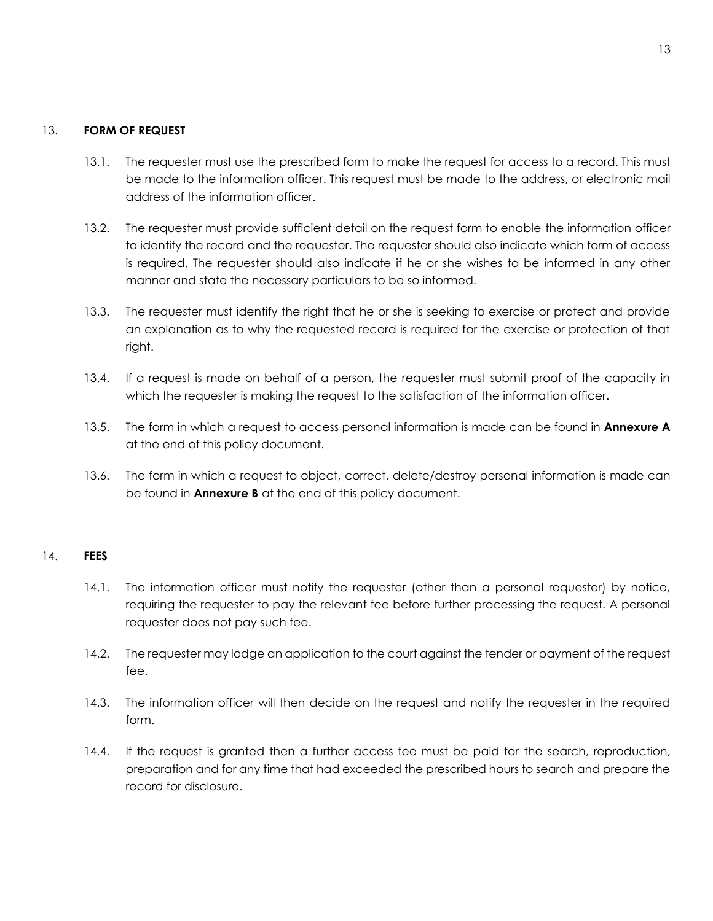#### 13. **FORM OF REQUEST**

- 13.1. The requester must use the prescribed form to make the request for access to a record. This must be made to the information officer. This request must be made to the address, or electronic mail address of the information officer.
- 13.2. The requester must provide sufficient detail on the request form to enable the information officer to identify the record and the requester. The requester should also indicate which form of access is required. The requester should also indicate if he or she wishes to be informed in any other manner and state the necessary particulars to be so informed.
- 13.3. The requester must identify the right that he or she is seeking to exercise or protect and provide an explanation as to why the requested record is required for the exercise or protection of that right.
- 13.4. If a request is made on behalf of a person, the requester must submit proof of the capacity in which the requester is making the request to the satisfaction of the information officer.
- 13.5. The form in which a request to access personal information is made can be found in **Annexure A** at the end of this policy document.
- 13.6. The form in which a request to object, correct, delete/destroy personal information is made can be found in **Annexure B** at the end of this policy document.

#### 14. **FEES**

- 14.1. The information officer must notify the requester (other than a personal requester) by notice, requiring the requester to pay the relevant fee before further processing the request. A personal requester does not pay such fee.
- 14.2. The requester may lodge an application to the court against the tender or payment of the request fee.
- 14.3. The information officer will then decide on the request and notify the requester in the required form.
- 14.4. If the request is granted then a further access fee must be paid for the search, reproduction, preparation and for any time that had exceeded the prescribed hours to search and prepare the record for disclosure.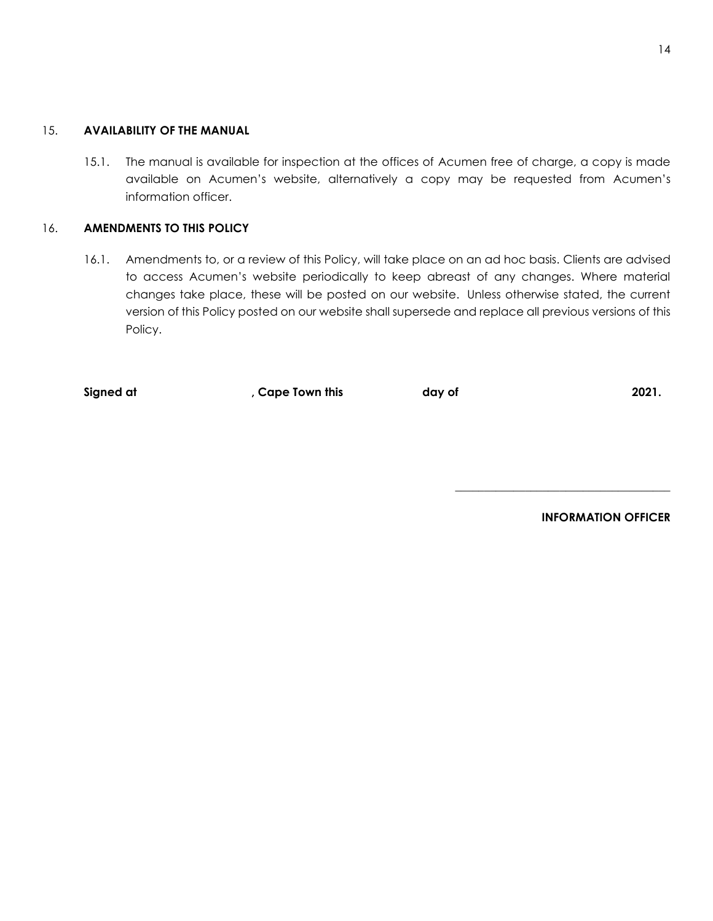#### 15. **AVAILABILITY OF THE MANUAL**

15.1. The manual is available for inspection at the offices of Acumen free of charge, a copy is made available on Acumen's website, alternatively a copy may be requested from Acumen's information officer.

### 16. **AMENDMENTS TO THIS POLICY**

16.1. Amendments to, or a review of this Policy, will take place on an ad hoc basis. Clients are advised to access Acumen's website periodically to keep abreast of any changes. Where material changes take place, these will be posted on our website. Unless otherwise stated, the current version of this Policy posted on our website shall supersede and replace all previous versions of this Policy.

| Signed at | , Cape Town this | day of | 2021. |
|-----------|------------------|--------|-------|
|           |                  |        |       |

**INFORMATION OFFICER** 

**\_\_\_\_\_\_\_\_\_\_\_\_\_\_\_\_\_\_\_\_\_\_\_\_\_\_\_\_\_\_\_\_\_\_\_\_\_**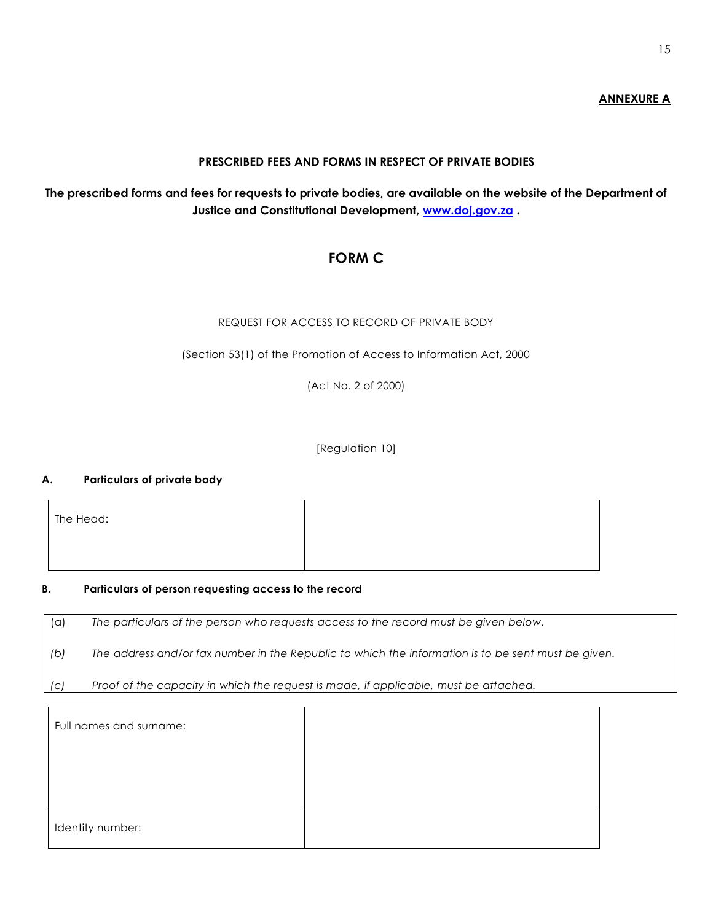## **ANNEXURE A**

## **PRESCRIBED FEES AND FORMS IN RESPECT OF PRIVATE BODIES**

# **The prescribed forms and fees for requests to private bodies, are available on the website of the Department of Justice and Constitutional Development, [www.doj.gov.za](http://www.doj.gov.za/) .**

# **FORM C**

### REQUEST FOR ACCESS TO RECORD OF PRIVATE BODY

(Section 53(1) of the Promotion of Access to Information Act, 2000

(Act No. 2 of 2000)

#### [Regulation 10]

#### **A. Particulars of private body**

| The Head: |  |
|-----------|--|
|           |  |

#### **B. Particulars of person requesting access to the record**

(a) *The particulars of the person who requests access to the record must be given below.* 

*(b) The address and/or fax number in the Republic to which the information is to be sent must be given.* 

*(c) Proof of the capacity in which the request is made, if applicable, must be attached.* 

| Full names and surname: |  |
|-------------------------|--|
|                         |  |
|                         |  |
| Identity number:        |  |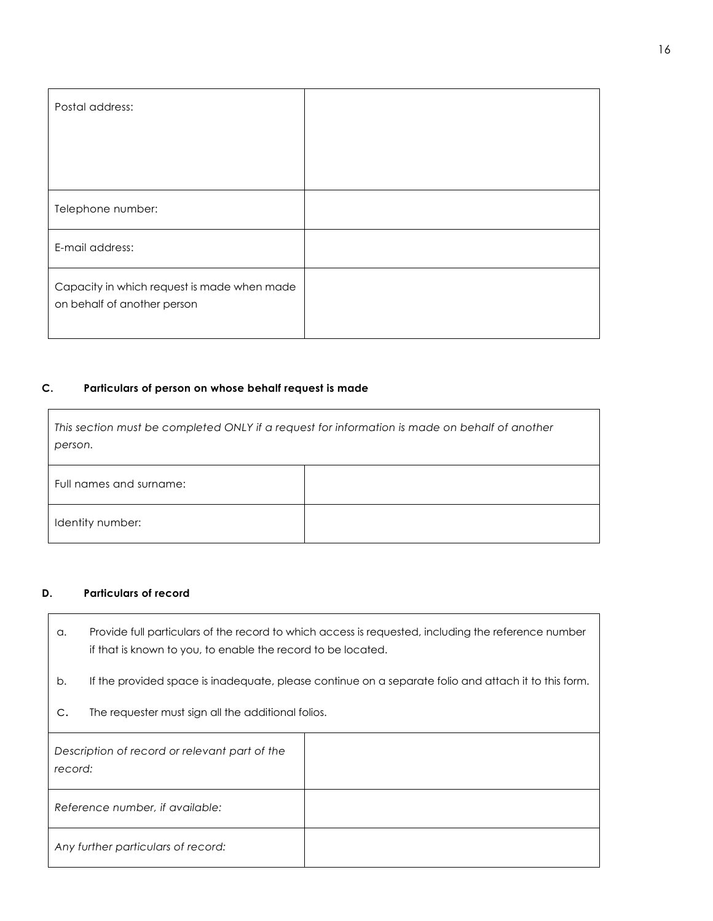| Postal address:                                                            |  |
|----------------------------------------------------------------------------|--|
|                                                                            |  |
|                                                                            |  |
| Telephone number:                                                          |  |
| E-mail address:                                                            |  |
| Capacity in which request is made when made<br>on behalf of another person |  |

#### **C. Particulars of person on whose behalf request is made**

| This section must be completed ONLY if a request for information is made on behalf of another<br>person. |  |  |  |
|----------------------------------------------------------------------------------------------------------|--|--|--|
| Full names and surname:                                                                                  |  |  |  |
| Identity number:                                                                                         |  |  |  |

#### **D. Particulars of record**

 $\Gamma$ 

- a. Provide full particulars of the record to which access is requested, including the reference number if that is known to you, to enable the record to be located.
- b. If the provided space is inadequate, please continue on a separate folio and attach it to this form.
- c. The requester must sign all the additional folios.

| Description of record or relevant part of the<br>record: |  |
|----------------------------------------------------------|--|
| Reference number, if available:                          |  |
| Any further particulars of record:                       |  |

٦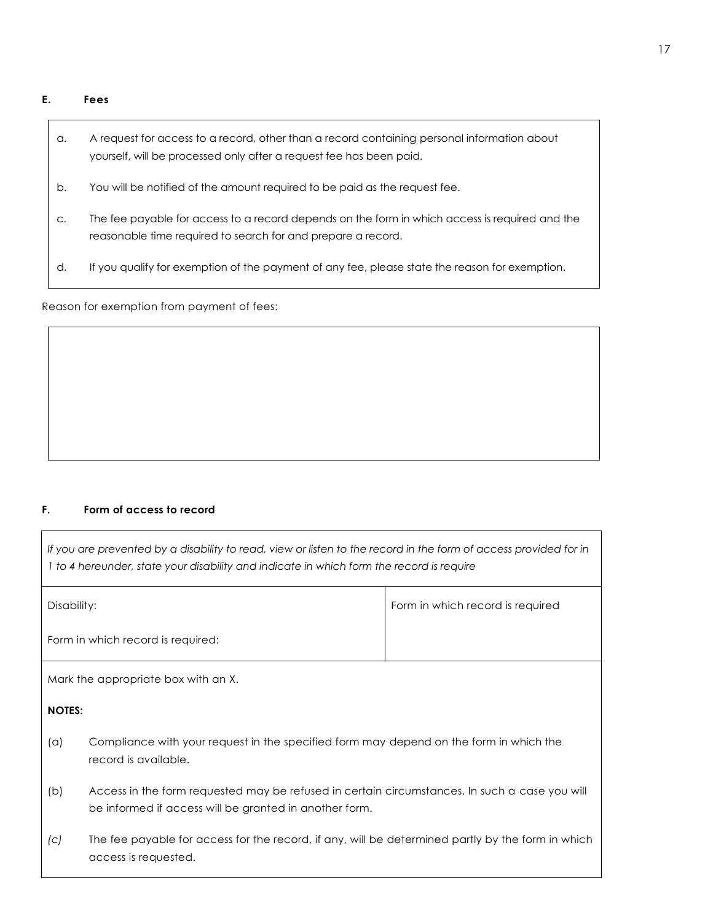### **E. Fees**

| а.            | A request for access to a record, other than a record containing personal information about<br>yourself, will be processed only after a request fee has been paid. |
|---------------|--------------------------------------------------------------------------------------------------------------------------------------------------------------------|
| b.            | You will be notified of the amount required to be paid as the request fee.                                                                                         |
| $\mathsf{C}.$ | The fee payable for access to a record depends on the form in which access is required and the<br>reasonable time required to search for and prepare a record.     |
| d.            | If you qualify for exemption of the payment of any fee, please state the reason for exemption.                                                                     |

Reason for exemption from payment of fees:

## **F. Form of access to record**

| If you are prevented by a disability to read, view or listen to the record in the form of access provided for in<br>I to 4 hereunder, state your disability and indicate in which form the record is require |                                                                                                                                                         |                                  |  |
|--------------------------------------------------------------------------------------------------------------------------------------------------------------------------------------------------------------|---------------------------------------------------------------------------------------------------------------------------------------------------------|----------------------------------|--|
| Disability:                                                                                                                                                                                                  |                                                                                                                                                         | Form in which record is required |  |
| Form in which record is required:                                                                                                                                                                            |                                                                                                                                                         |                                  |  |
| Mark the appropriate box with an X.                                                                                                                                                                          |                                                                                                                                                         |                                  |  |
| <b>NOTES:</b>                                                                                                                                                                                                |                                                                                                                                                         |                                  |  |
| (a)                                                                                                                                                                                                          | Compliance with your request in the specified form may depend on the form in which the<br>record is available.                                          |                                  |  |
| (b)                                                                                                                                                                                                          | Access in the form requested may be refused in certain circumstances. In such a case you will<br>be informed if access will be granted in another form. |                                  |  |
| (C)                                                                                                                                                                                                          | The fee payable for access for the record, if any, will be determined partly by the form in which<br>access is requested.                               |                                  |  |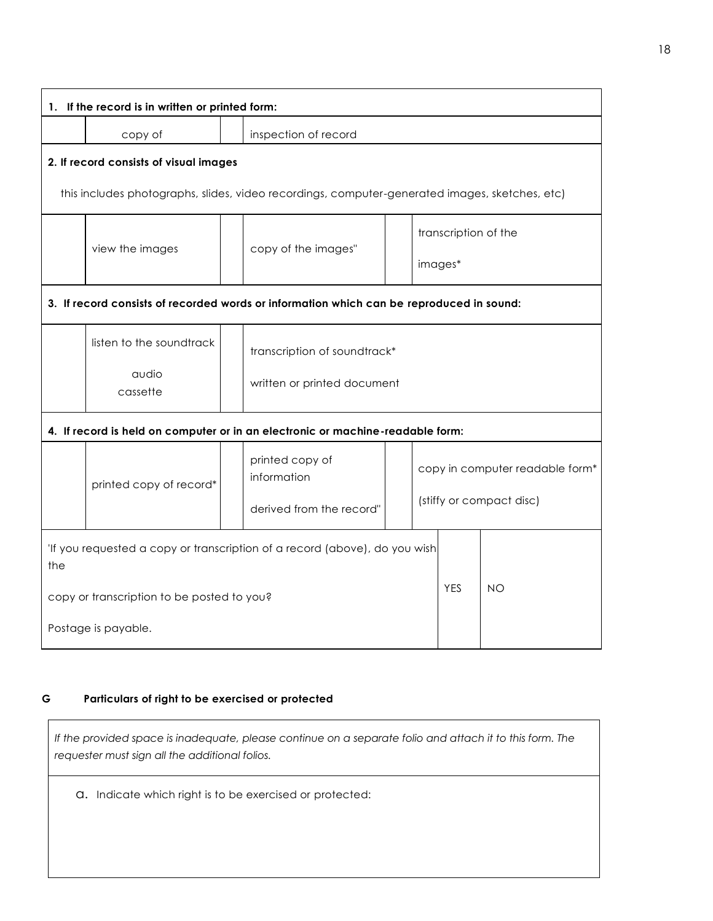|     | 1. If the record is in written or printed form: |  |                                                                                                |  |                                                             |           |  |
|-----|-------------------------------------------------|--|------------------------------------------------------------------------------------------------|--|-------------------------------------------------------------|-----------|--|
|     | copy of                                         |  | inspection of record                                                                           |  |                                                             |           |  |
|     | 2. If record consists of visual images          |  |                                                                                                |  |                                                             |           |  |
|     |                                                 |  | this includes photographs, slides, video recordings, computer-generated images, sketches, etc) |  |                                                             |           |  |
|     | view the images                                 |  | copy of the images"                                                                            |  | transcription of the                                        |           |  |
|     |                                                 |  |                                                                                                |  | images*                                                     |           |  |
|     |                                                 |  | 3. If record consists of recorded words or information which can be reproduced in sound:       |  |                                                             |           |  |
|     | listen to the soundtrack                        |  | transcription of soundtrack*                                                                   |  |                                                             |           |  |
|     | audio<br>cassette                               |  | written or printed document                                                                    |  |                                                             |           |  |
|     |                                                 |  | 4. If record is held on computer or in an electronic or machine-readable form:                 |  |                                                             |           |  |
|     | printed copy of record*                         |  | printed copy of<br>information                                                                 |  | copy in computer readable form*<br>(stiffy or compact disc) |           |  |
|     |                                                 |  | derived from the record"                                                                       |  |                                                             |           |  |
| the |                                                 |  | 'If you requested a copy or transcription of a record (above), do you wish                     |  |                                                             |           |  |
|     | copy or transcription to be posted to you?      |  |                                                                                                |  | <b>YES</b>                                                  | <b>NO</b> |  |
|     | Postage is payable.                             |  |                                                                                                |  |                                                             |           |  |

## **G Particulars of right to be exercised or protected**

*If the provided space is inadequate, please continue on a separate folio and attach it to this form. The requester must sign all the additional folios.* 

a. Indicate which right is to be exercised or protected: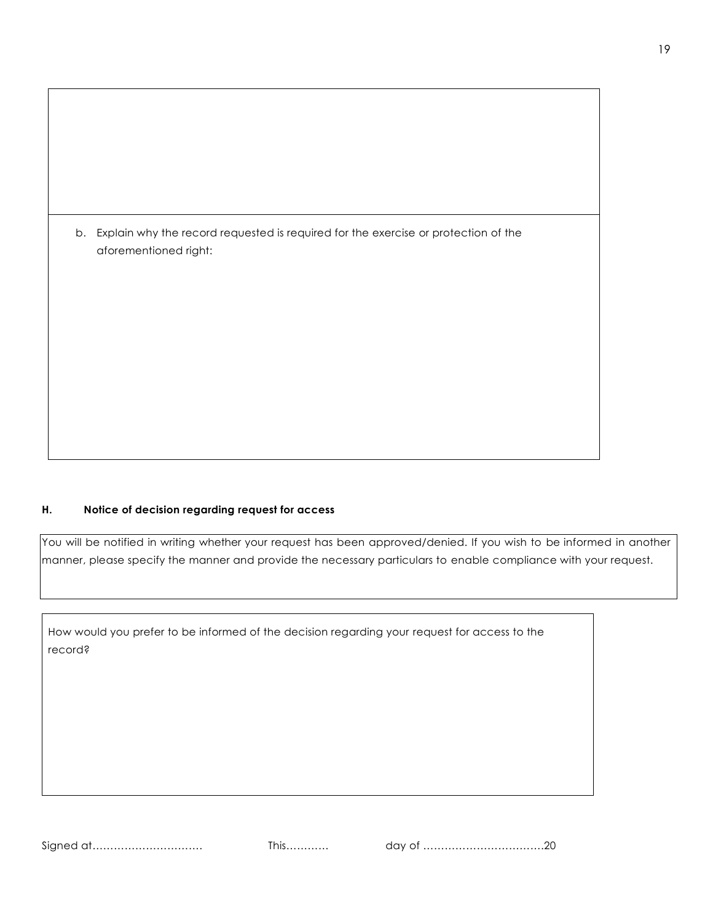| b. Explain why the record requested is required for the exercise or protection of the |
|---------------------------------------------------------------------------------------|
| aforementioned right:                                                                 |
|                                                                                       |
|                                                                                       |
|                                                                                       |
|                                                                                       |
|                                                                                       |
|                                                                                       |
|                                                                                       |
|                                                                                       |
|                                                                                       |
|                                                                                       |
|                                                                                       |
|                                                                                       |
|                                                                                       |
|                                                                                       |

### **H. Notice of decision regarding request for access**

You will be notified in writing whether your request has been approved/denied. If you wish to be informed in another manner, please specify the manner and provide the necessary particulars to enable compliance with your request.

How would you prefer to be informed of the decision regarding your request for access to the record?

Signed at…………………………. This………… day of …………………………….20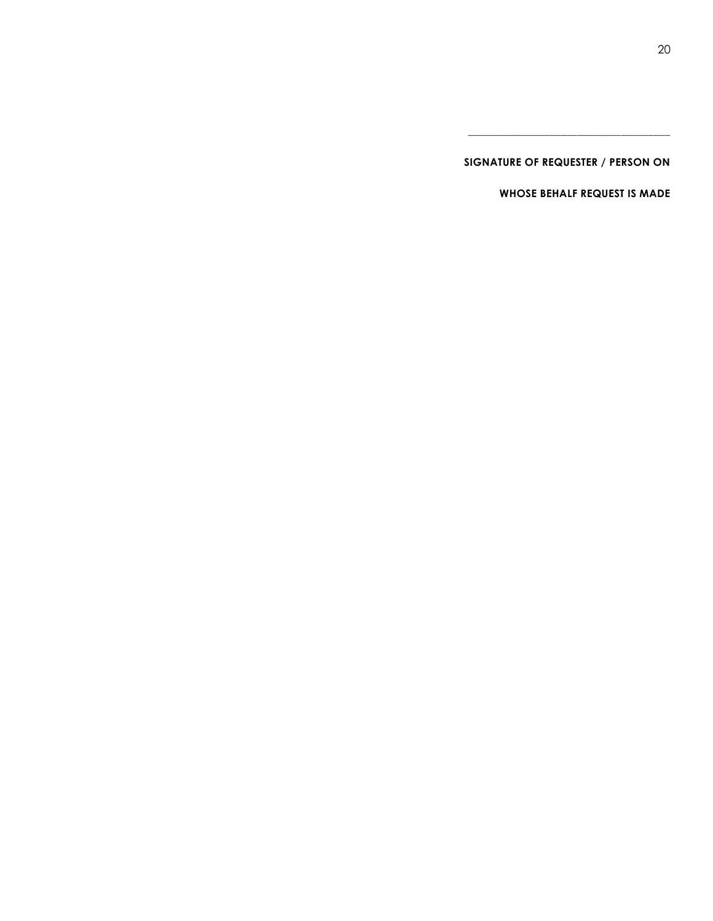**SIGNATURE OF REQUESTER / PERSON ON** 

\_\_\_\_\_\_\_\_\_\_\_\_\_\_\_\_\_\_\_\_\_\_\_\_\_\_\_\_\_\_\_\_\_\_\_\_\_

**WHOSE BEHALF REQUEST IS MADE**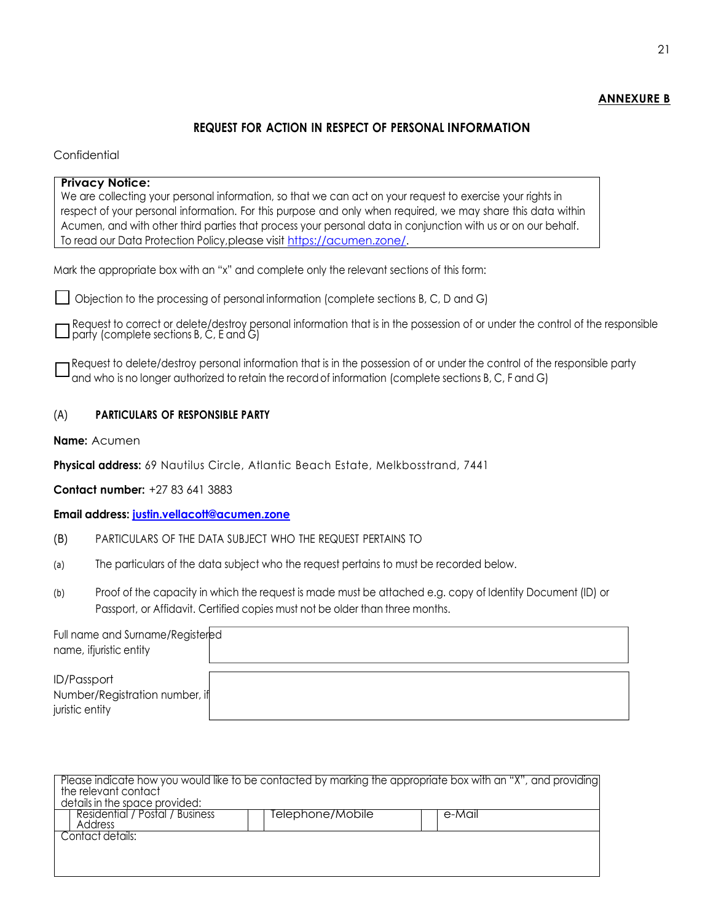### **ANNEXURE B**

## **REQUEST FOR ACTION IN RESPECT OF PERSONAL INFORMATION**

### **Confidential**

| <b>Privacy Notice:</b>                                                                                                                                                        |  |
|-------------------------------------------------------------------------------------------------------------------------------------------------------------------------------|--|
| We are collecting your personal information, so that we can act on your request to exercise your rights in                                                                    |  |
| respect of your personal information. For this purpose and only when required, we may share this data within                                                                  |  |
| Acumen, and with other third parties that process your personal data in conjunction with us or on our behalf.                                                                 |  |
| To read our Data Protection Policy, please visit https://acumen.zone/.                                                                                                        |  |
| Mark the appropriate box with an "x" and complete only the relevant sections of this form:                                                                                    |  |
| $\Box$ Objection to the processing of personal information (complete sections B, C, D and G)                                                                                  |  |
| $\Box$ Request to correct or delete/destroy personal information that is in the possession of or under the control of the responsible party (complete sections B, C, E and G) |  |

Request to delete/destroy personal information that is in the possession of or under the control of the responsible party and who is no longer authorized to retain the record of information (complete sections B, C, F and G)

# (A) **PARTICULARS OF RESPONSIBLE PARTY**

**Name:** Acumen

**Physical address:** 69 Nautilus Circle, Atlantic Beach Estate, Melkbosstrand, 7441

**Contact number:** +27 83 641 3883

**Email address: [justin.vellacott@acumen.zone](mailto:justin.vellacott@acumen.zone)**

- (B) PARTICULARS OF THE DATA SUBJECT WHO THE REQUEST PERTAINS TO
- (a) The particulars of the data subject who the request pertains to must be recorded below.
- (b) Proof of the capacity in which the request is made must be attached e.g. copy of Identity Document (ID) or Passport, or Affidavit. Certified copies must not be older than three months.

| Full name and Surname/Registered |  |
|----------------------------------|--|
| name, ifjuristic entity          |  |
|                                  |  |
| <b>ID/Passport</b>               |  |
| Number/Registration number, if   |  |
| juristic entity                  |  |

| Please indicate how you would like to be contacted by marking the appropriate box with an "X", and providing<br>the relevant contact<br>details in the space provided: |                  |        |
|------------------------------------------------------------------------------------------------------------------------------------------------------------------------|------------------|--------|
| Residential / Postal / Business<br>Address                                                                                                                             | Telephone/Mobile | e-Mail |
| Contact details:                                                                                                                                                       |                  |        |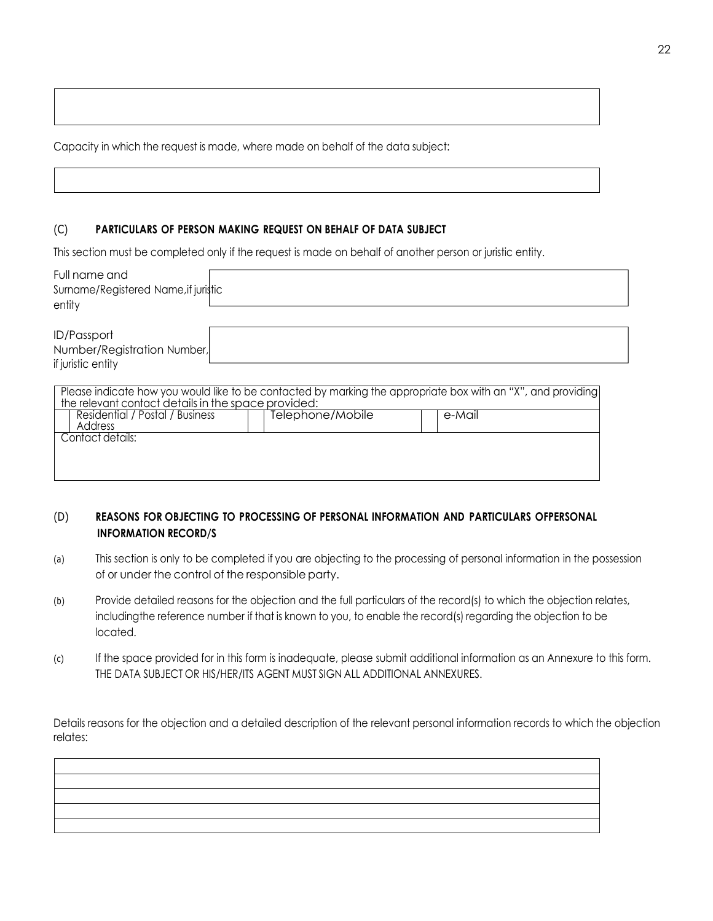Capacity in which the request is made, where made on behalf of the data subject:

#### (C) **PARTICULARS OF PERSON MAKING REQUEST ON BEHALF OF DATA SUBJECT**

This section must be completed only if the request is made on behalf of another person or juristic entity.

| Full name and<br>Surname/Registered Name, if juristic<br>entity                                                                                                                                                   |                  |        |  |
|-------------------------------------------------------------------------------------------------------------------------------------------------------------------------------------------------------------------|------------------|--------|--|
| ID/Passport<br>Number/Registration Number,<br>if juristic entity                                                                                                                                                  |                  |        |  |
| Please indicate how you would like to be contacted by marking the appropriate box with an "X", and providing<br>the relevant contact details in the space provided:<br>Residential / Postal / Business<br>Address | Telephone/Mobile | e-Mail |  |
| Contact details:                                                                                                                                                                                                  |                  |        |  |

## (D) REASONS FOR OBJECTING TO PROCESSING OF PERSONAL INFORMATION AND PARTICULARS OFPERSONAL **INFORMATION RECORD/S**

- (a) This section is only to be completed if you are objecting to the processing of personal information in the possession of or under the control of the responsible party.
- (b) Provide detailed reasons for the objection and the full particulars of the record(s) to which the objection relates, including the reference number if that is known to you, to enable the record(s) regarding the objection to be located.
- (c) If the space provided for in this form is inadequate, please submit additional information as an Annexure to this form. THE DATA SUBJECT OR HIS/HER/ITS AGENT MUST SIGN ALL ADDITIONAL ANNEXURES.

Details reasons for the objection and a detailed description of the relevant personal information records to which the objection relates: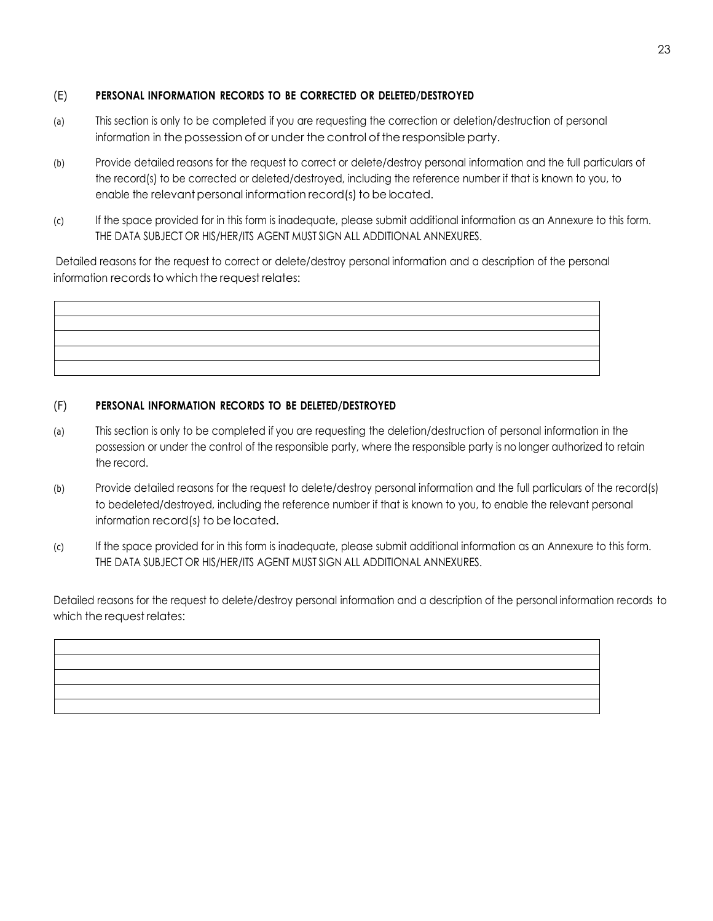# (E) **PERSONAL INFORMATION RECORDS TO BE CORRECTED OR DELETED/DESTROYED**

- (a) This section is only to be completed if you are requesting the correction or deletion/destruction of personal information in the possession of or under the control of the responsible party.
- (b) Provide detailed reasons for the request to correct or delete/destroy personal information and the full particulars of the record(s) to be corrected or deleted/destroyed, including the reference number if that is known to you, to enable the relevant personal information record(s) to be located.
- (c) If the space provided for in this form is inadequate, please submit additional information as an Annexure to this form. THE DATA SUBJECT OR HIS/HER/ITS AGENT MUST SIGN ALL ADDITIONAL ANNEXURES.

Detailed reasons for the request to correct or delete/destroy personal information and a description of the personal information records to which the request relates:

# (F) **PERSONAL INFORMATION RECORDS TO BE DELETED/DESTROYED**

- (a) This section is only to be completed if you are requesting the deletion/destruction of personal information in the possession or under the control of the responsible party, where the responsible party is no longer authorized to retain the record.
- (b) Provide detailed reasons for the request to delete/destroy personal information and the full particulars of the record(s) to be deleted/destroyed, including the reference number if that is known to you, to enable the relevant personal information record(s) to be located.
- (c) If the space provided for in this form is inadequate, please submit additional information as an Annexure to this form. THE DATA SUBJECT OR HIS/HER/ITS AGENT MUST SIGN ALL ADDITIONAL ANNEXURES.

Detailed reasons for the request to delete/destroy personal information and a description of the personal information records to which the request relates: